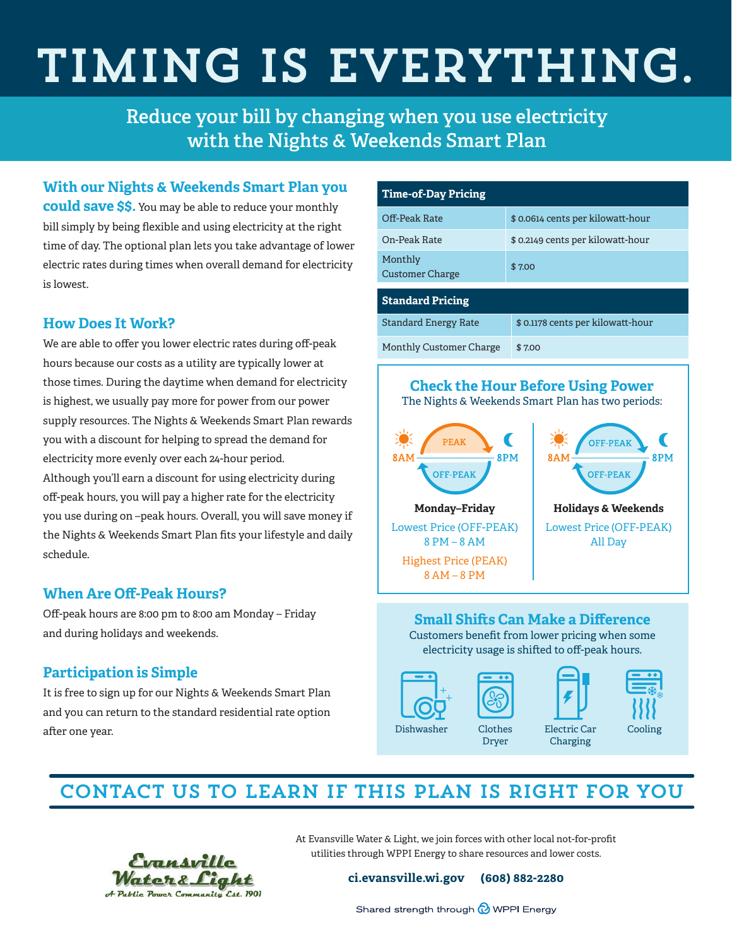# Timing is everything.

**Reduce your bill by changing when you use electricity with the Nights & Weekends Smart Plan**

### **With our Nights & Weekends Smart Plan you**

**could save \$\$.** You may be able to reduce your monthly bill simply by being flexible and using electricity at the right time of day. The optional plan lets you take advantage of lower electric rates during times when overall demand for electricity is lowest.

## **How Does It Work?**

We are able to offer you lower electric rates during off-peak hours because our costs as a utility are typically lower at those times. During the daytime when demand for electricity is highest, we usually pay more for power from our power supply resources. The Nights & Weekends Smart Plan rewards you with a discount for helping to spread the demand for electricity more evenly over each 24-hour period. Although you'll earn a discount for using electricity during off-peak hours, you will pay a higher rate for the electricity you use during on –peak hours. Overall, you will save money if the Nights & Weekends Smart Plan fits your lifestyle and daily schedule.

## **When Are Off-Peak Hours?**

Off-peak hours are 8:00 pm to 8:00 am Monday – Friday and during holidays and weekends.

# **Participation is Simple**

It is free to sign up for our Nights & Weekends Smart Plan and you can return to the standard residential rate option after one year.

| <b>Time-of-Day Pricing</b>        |                                  |
|-----------------------------------|----------------------------------|
| Off-Peak Rate                     | \$0.0614 cents per kilowatt-hour |
| On-Peak Rate                      | \$0.2149 cents per kilowatt-hour |
| Monthly<br><b>Customer Charge</b> | \$7.00                           |
| <b>Standard Pricing</b>           |                                  |
| <b>Standard Energy Rate</b>       | \$0.1178 cents per kilowatt-hour |
| Monthly Customer Charge           | \$7.00                           |



#### **Small Shifts Can Make a Difference** Customers benefit from lower pricing when some electricity usage is shifted to off-peak hours.





Dryer



# Contact us to learn if this plan is right for you



At Evansville Water & Light, we join forces with other local not-for-profit utilities through WPPI Energy to share resources and lower costs.

**ci.evansville.wi.gov (608) 882-2280**

Shared strength through @ WPPI Energy